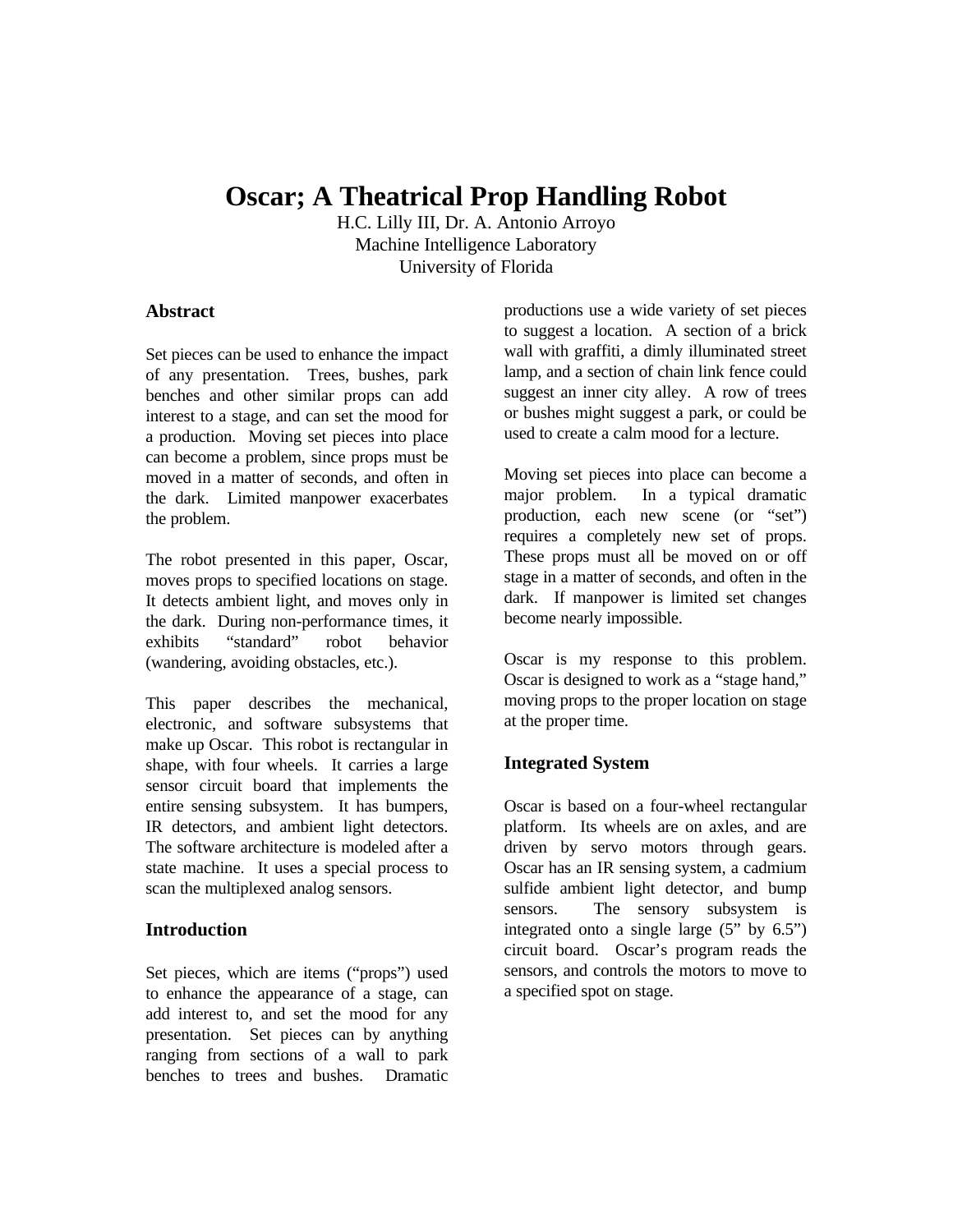# **Oscar; A Theatrical Prop Handling Robot**

H.C. Lilly III, Dr. A. Antonio Arroyo Machine Intelligence Laboratory University of Florida

## **Abstract**

Set pieces can be used to enhance the impact of any presentation. Trees, bushes, park benches and other similar props can add interest to a stage, and can set the mood for a production. Moving set pieces into place can become a problem, since props must be moved in a matter of seconds, and often in the dark. Limited manpower exacerbates the problem.

The robot presented in this paper, Oscar, moves props to specified locations on stage. It detects ambient light, and moves only in the dark. During non-performance times, it exhibits "standard" robot behavior (wandering, avoiding obstacles, etc.).

This paper describes the mechanical, electronic, and software subsystems that make up Oscar. This robot is rectangular in shape, with four wheels. It carries a large sensor circuit board that implements the entire sensing subsystem. It has bumpers, IR detectors, and ambient light detectors. The software architecture is modeled after a state machine. It uses a special process to scan the multiplexed analog sensors.

# **Introduction**

Set pieces, which are items ("props") used to enhance the appearance of a stage, can add interest to, and set the mood for any presentation. Set pieces can by anything ranging from sections of a wall to park benches to trees and bushes. Dramatic

productions use a wide variety of set pieces to suggest a location. A section of a brick wall with graffiti, a dimly illuminated street lamp, and a section of chain link fence could suggest an inner city alley. A row of trees or bushes might suggest a park, or could be used to create a calm mood for a lecture.

Moving set pieces into place can become a major problem. In a typical dramatic production, each new scene (or "set") requires a completely new set of props. These props must all be moved on or off stage in a matter of seconds, and often in the dark. If manpower is limited set changes become nearly impossible.

Oscar is my response to this problem. Oscar is designed to work as a "stage hand," moving props to the proper location on stage at the proper time.

# **Integrated System**

Oscar is based on a four-wheel rectangular platform. Its wheels are on axles, and are driven by servo motors through gears. Oscar has an IR sensing system, a cadmium sulfide ambient light detector, and bump sensors. The sensory subsystem is integrated onto a single large  $(5"$  by  $6.5")$ circuit board. Oscar's program reads the sensors, and controls the motors to move to a specified spot on stage.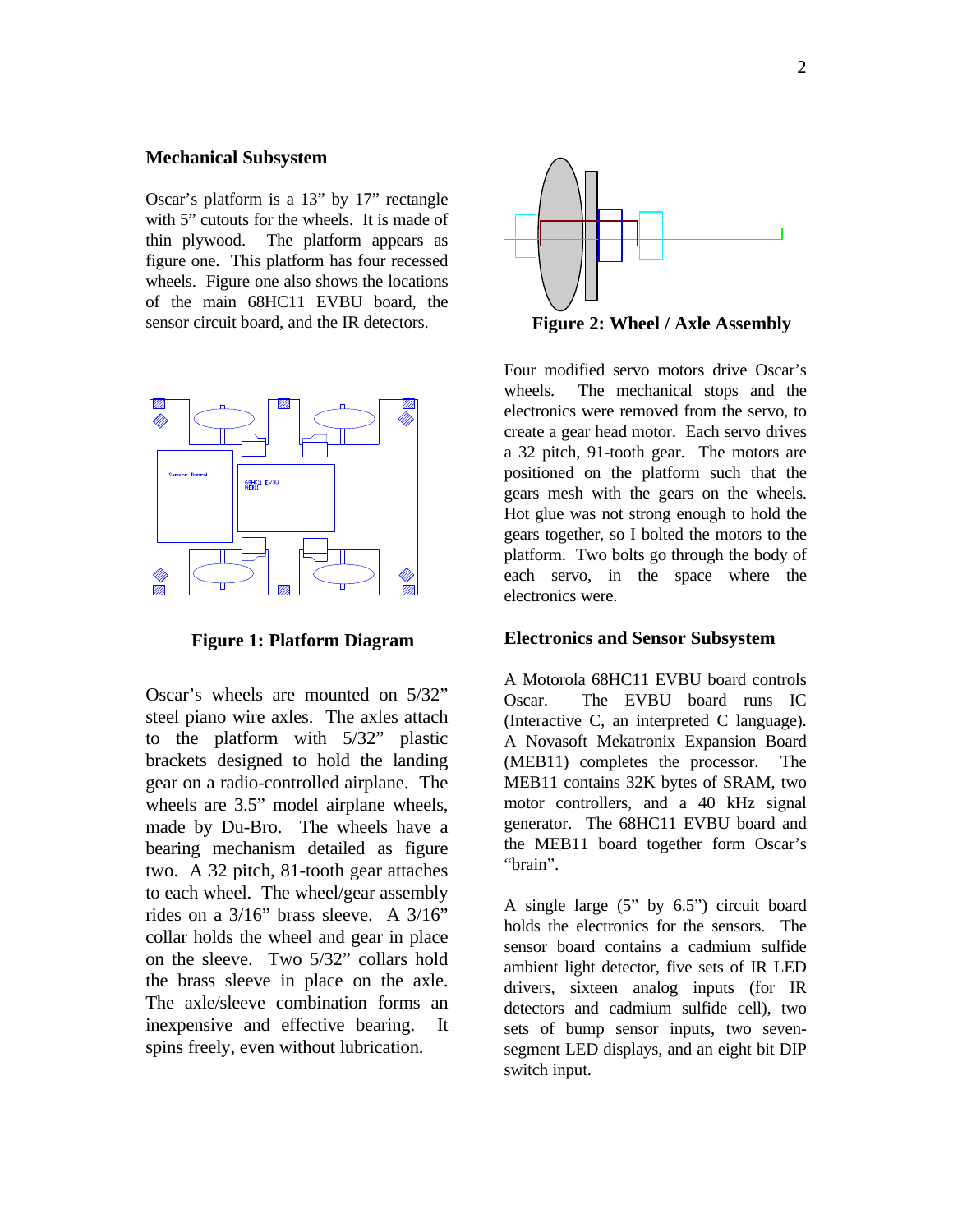#### **Mechanical Subsystem**

Oscar's platform is a 13" by 17" rectangle with 5" cutouts for the wheels. It is made of thin plywood. The platform appears as figure one. This platform has four recessed wheels. Figure one also shows the locations of the main 68HC11 EVBU board, the sensor circuit board, and the IR detectors.



**Figure 1: Platform Diagram**

Oscar's wheels are mounted on 5/32" steel piano wire axles. The axles attach to the platform with 5/32" plastic brackets designed to hold the landing gear on a radio-controlled airplane. The wheels are 3.5" model airplane wheels, made by Du-Bro. The wheels have a bearing mechanism detailed as figure two. A 32 pitch, 81-tooth gear attaches to each wheel. The wheel/gear assembly rides on a 3/16" brass sleeve. A 3/16" collar holds the wheel and gear in place on the sleeve. Two 5/32" collars hold the brass sleeve in place on the axle. The axle/sleeve combination forms an inexpensive and effective bearing. It spins freely, even without lubrication.



**Figure 2: Wheel / Axle Assembly**

Four modified servo motors drive Oscar's wheels. The mechanical stops and the electronics were removed from the servo, to create a gear head motor. Each servo drives a 32 pitch, 91-tooth gear. The motors are positioned on the platform such that the gears mesh with the gears on the wheels. Hot glue was not strong enough to hold the gears together, so I bolted the motors to the platform. Two bolts go through the body of each servo, in the space where the electronics were.

#### **Electronics and Sensor Subsystem**

A Motorola 68HC11 EVBU board controls Oscar. The EVBU board runs IC (Interactive C, an interpreted C language). A Novasoft Mekatronix Expansion Board (MEB11) completes the processor. The MEB11 contains 32K bytes of SRAM, two motor controllers, and a 40 kHz signal generator. The 68HC11 EVBU board and the MEB11 board together form Oscar's "brain".

A single large (5" by 6.5") circuit board holds the electronics for the sensors. The sensor board contains a cadmium sulfide ambient light detector, five sets of IR LED drivers, sixteen analog inputs (for IR detectors and cadmium sulfide cell), two sets of bump sensor inputs, two sevensegment LED displays, and an eight bit DIP switch input.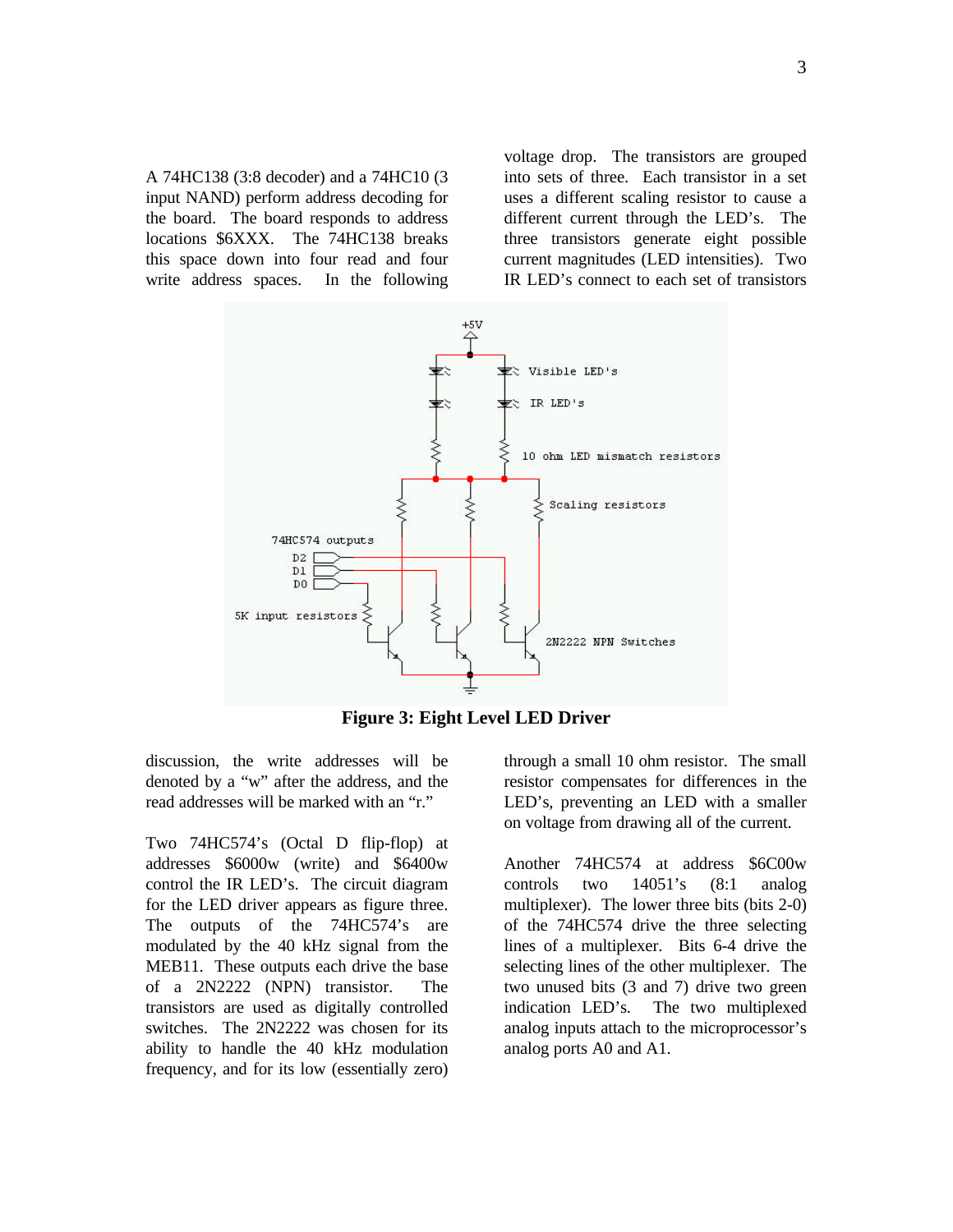A 74HC138 (3:8 decoder) and a 74HC10 (3 input NAND) perform address decoding for the board. The board responds to address locations \$6XXX. The 74HC138 breaks this space down into four read and four write address spaces. In the following voltage drop. The transistors are grouped into sets of three. Each transistor in a set uses a different scaling resistor to cause a different current through the LED's. The three transistors generate eight possible current magnitudes (LED intensities). Two IR LED's connect to each set of transistors



**Figure 3: Eight Level LED Driver**

discussion, the write addresses will be denoted by a "w" after the address, and the read addresses will be marked with an "r."

Two 74HC574's (Octal D flip-flop) at addresses \$6000w (write) and \$6400w control the IR LED's. The circuit diagram for the LED driver appears as figure three. The outputs of the 74HC574's are modulated by the 40 kHz signal from the MEB11. These outputs each drive the base of a 2N2222 (NPN) transistor. The transistors are used as digitally controlled switches. The 2N2222 was chosen for its ability to handle the 40 kHz modulation frequency, and for its low (essentially zero)

through a small 10 ohm resistor. The small resistor compensates for differences in the LED's, preventing an LED with a smaller on voltage from drawing all of the current.

Another 74HC574 at address \$6C00w controls two 14051's (8:1 analog multiplexer). The lower three bits (bits 2-0) of the 74HC574 drive the three selecting lines of a multiplexer. Bits 6-4 drive the selecting lines of the other multiplexer. The two unused bits (3 and 7) drive two green indication LED's. The two multiplexed analog inputs attach to the microprocessor's analog ports A0 and A1.